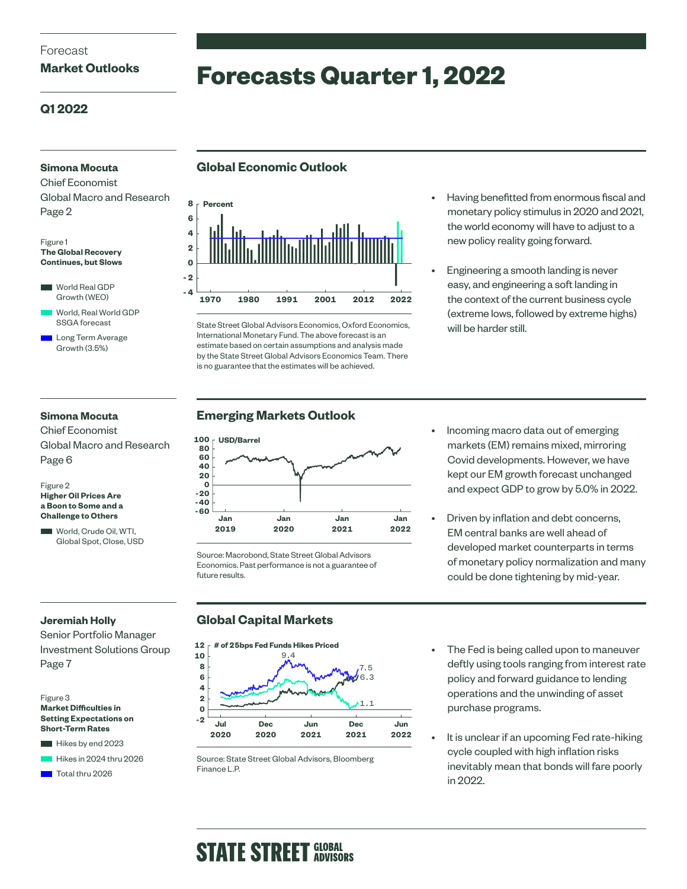#### Forecast

#### **Market Outlooks**

# **Forecasts Quarter 1, 2022**

#### **Q1 2022**

#### **Simona Mocuta**

Chief Economist Global Macro and Research Page 2

#### Figure 1 **The Global Recovery Continues, but Slows**

World Real GDP Growth (WEO)

 World, Real World GDP SSGA forecast

 Long Term Average Growth (3.5%)

### **Global Economic Outlook**



State Street Global Advisors Economics, Oxford Economics, International Monetary Fund. The above forecast is an estimate based on certain assumptions and analysis made by the State Street Global Advisors Economics Team. There is no guarantee that the estimates will be achieved.

- Having benefitted from enormous fiscal and monetary policy stimulus in 2020 and 2021, the world economy will have to adjust to a new policy reality going forward.
- Engineering a smooth landing is never easy, and engineering a soft landing in the context of the current business cycle (extreme lows, followed by extreme highs) will be harder still.

#### **Simona Mocuta**

Chief Economist Global Macro and Research Page 6

#### Figure 2 **Higher Oil Prices Are a Boon to Some and a Challenge to Others**

World, Crude Oil, WTI, Global Spot, Close, USD

#### **Emerging Markets Outlook**



Source: Macrobond, State Street Global Advisors Economics. Past performance is not a guarantee of future results.

markets (EM) remains mixed, mirroring Covid developments. However, we have kept our EM growth forecast unchanged and expect GDP to grow by 5.0% in 2022.

• Incoming macro data out of emerging

• Driven by inflation and debt concerns, EM central banks are well ahead of developed market counterparts in terms of monetary policy normalization and many could be done tightening by mid-year.

#### **Jeremiah Holly**

Senior Portfolio Manager Investment Solutions Group Page 7





### **Global Capital Markets**

#### **# of 25bps Fed Funds Hikes Priced 12**



Source: State Street Global Advisors, Bloomberg Finance L.P.

- The Fed is being called upon to maneuver deftly using tools ranging from interest rate policy and forward guidance to lending operations and the unwinding of asset purchase programs.
- It is unclear if an upcoming Fed rate-hiking cycle coupled with high inflation risks inevitably mean that bonds will fare poorly in 2022.

# **STATE STREET GLOBAL**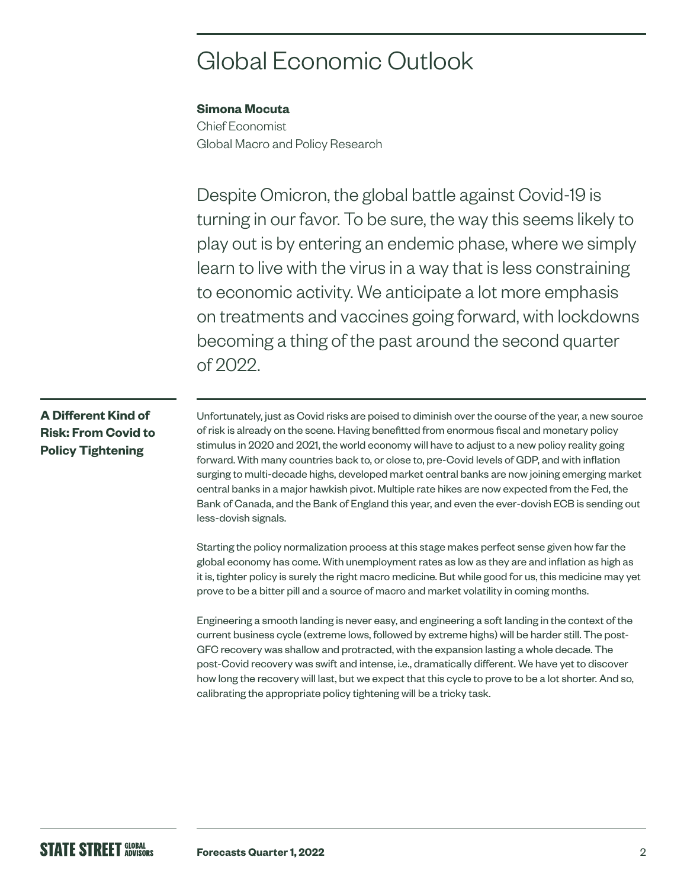# Global Economic Outlook

#### **Simona Mocuta**

Chief Economist Global Macro and Policy Research

Despite Omicron, the global battle against Covid-19 is turning in our favor. To be sure, the way this seems likely to play out is by entering an endemic phase, where we simply learn to live with the virus in a way that is less constraining to economic activity. We anticipate a lot more emphasis on treatments and vaccines going forward, with lockdowns becoming a thing of the past around the second quarter of 2022.

### **A Different Kind of Risk: From Covid to Policy Tightening**

Unfortunately, just as Covid risks are poised to diminish over the course of the year, a new source of risk is already on the scene. Having benefitted from enormous fiscal and monetary policy stimulus in 2020 and 2021, the world economy will have to adjust to a new policy reality going forward. With many countries back to, or close to, pre-Covid levels of GDP, and with inflation surging to multi-decade highs, developed market central banks are now joining emerging market central banks in a major hawkish pivot. Multiple rate hikes are now expected from the Fed, the Bank of Canada, and the Bank of England this year, and even the ever-dovish ECB is sending out less-dovish signals.

Starting the policy normalization process at this stage makes perfect sense given how far the global economy has come. With unemployment rates as low as they are and inflation as high as it is, tighter policy is surely the right macro medicine. But while good for us, this medicine may yet prove to be a bitter pill and a source of macro and market volatility in coming months.

Engineering a smooth landing is never easy, and engineering a soft landing in the context of the current business cycle (extreme lows, followed by extreme highs) will be harder still. The post-GFC recovery was shallow and protracted, with the expansion lasting a whole decade. The post-Covid recovery was swift and intense, i.e., dramatically different. We have yet to discover how long the recovery will last, but we expect that this cycle to prove to be a lot shorter. And so, calibrating the appropriate policy tightening will be a tricky task.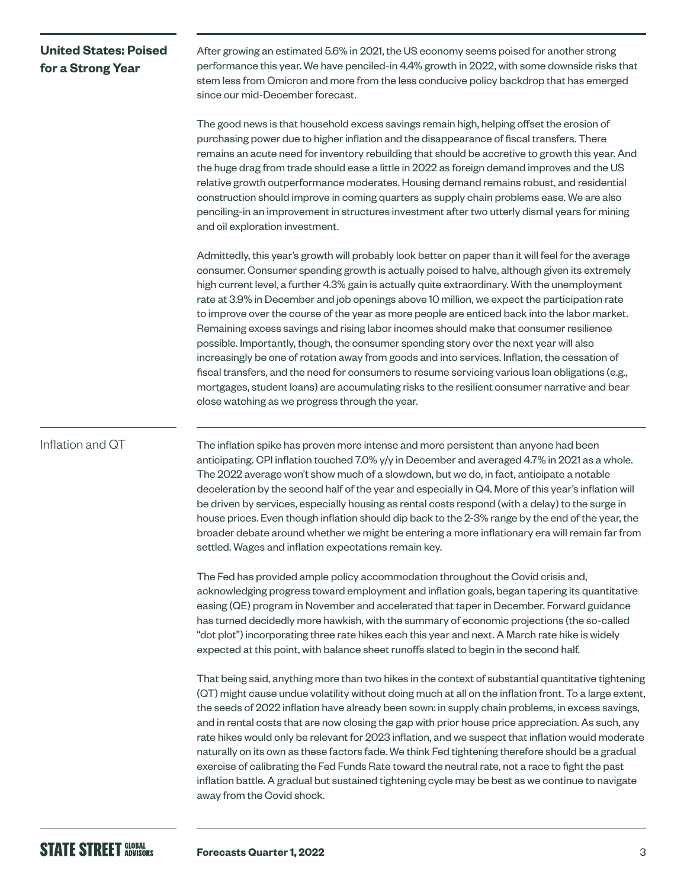### **United States: Poised for a Strong Year**

After growing an estimated 5.6% in 2021, the US economy seems poised for another strong performance this year. We have penciled-in 4.4% growth in 2022, with some downside risks that stem less from Omicron and more from the less conducive policy backdrop that has emerged since our mid-December forecast.

The good news is that household excess savings remain high, helping offset the erosion of purchasing power due to higher inflation and the disappearance of fiscal transfers. There remains an acute need for inventory rebuilding that should be accretive to growth this year. And the huge drag from trade should ease a little in 2022 as foreign demand improves and the US relative growth outperformance moderates. Housing demand remains robust, and residential construction should improve in coming quarters as supply chain problems ease. We are also penciling-in an improvement in structures investment after two utterly dismal years for mining and oil exploration investment.

Admittedly, this year's growth will probably look better on paper than it will feel for the average consumer. Consumer spending growth is actually poised to halve, although given its extremely high current level, a further 4.3% gain is actually quite extraordinary. With the unemployment rate at 3.9% in December and job openings above 10 million, we expect the participation rate to improve over the course of the year as more people are enticed back into the labor market. Remaining excess savings and rising labor incomes should make that consumer resilience possible. Importantly, though, the consumer spending story over the next year will also increasingly be one of rotation away from goods and into services. Inflation, the cessation of fiscal transfers, and the need for consumers to resume servicing various loan obligations (e.g., mortgages, student loans) are accumulating risks to the resilient consumer narrative and bear close watching as we progress through the year.

#### Inflation and QT

The inflation spike has proven more intense and more persistent than anyone had been anticipating. CPI inflation touched 7.0% y/y in December and averaged 4.7% in 2021 as a whole. The 2022 average won't show much of a slowdown, but we do, in fact, anticipate a notable deceleration by the second half of the year and especially in Q4. More of this year's inflation will be driven by services, especially housing as rental costs respond (with a delay) to the surge in house prices. Even though inflation should dip back to the 2-3% range by the end of the year, the broader debate around whether we might be entering a more inflationary era will remain far from settled. Wages and inflation expectations remain key.

The Fed has provided ample policy accommodation throughout the Covid crisis and, acknowledging progress toward employment and inflation goals, began tapering its quantitative easing (QE) program in November and accelerated that taper in December. Forward guidance has turned decidedly more hawkish, with the summary of economic projections (the so-called "dot plot") incorporating three rate hikes each this year and next. A March rate hike is widely expected at this point, with balance sheet runoffs slated to begin in the second half.

That being said, anything more than two hikes in the context of substantial quantitative tightening (QT) might cause undue volatility without doing much at all on the inflation front. To a large extent, the seeds of 2022 inflation have already been sown: in supply chain problems, in excess savings, and in rental costs that are now closing the gap with prior house price appreciation. As such, any rate hikes would only be relevant for 2023 inflation, and we suspect that inflation would moderate naturally on its own as these factors fade. We think Fed tightening therefore should be a gradual exercise of calibrating the Fed Funds Rate toward the neutral rate, not a race to fight the past inflation battle. A gradual but sustained tightening cycle may be best as we continue to navigate away from the Covid shock.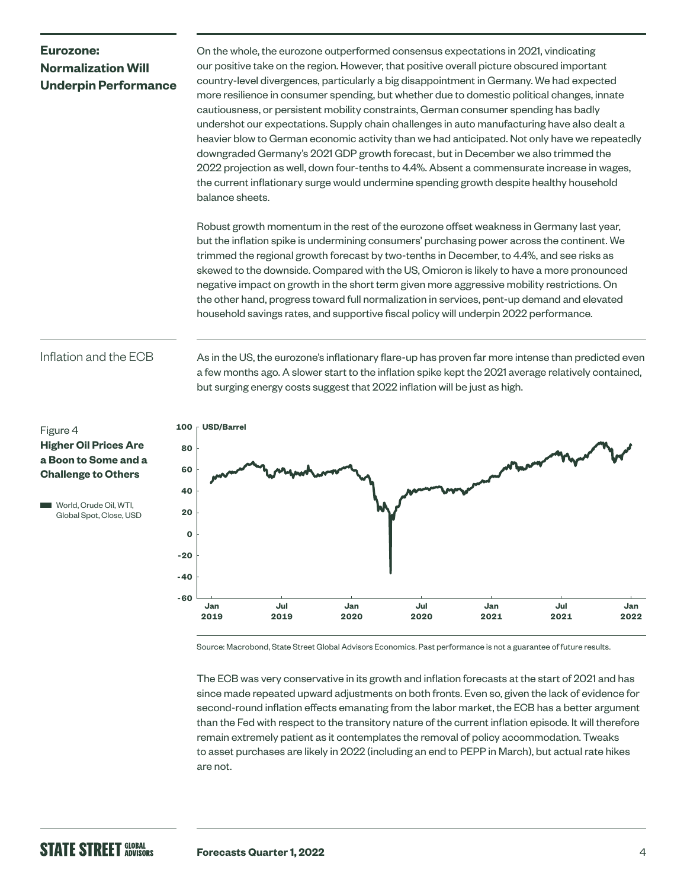# **Eurozone: Normalization Will Underpin Performance**

On the whole, the eurozone outperformed consensus expectations in 2021, vindicating our positive take on the region. However, that positive overall picture obscured important country-level divergences, particularly a big disappointment in Germany. We had expected more resilience in consumer spending, but whether due to domestic political changes, innate cautiousness, or persistent mobility constraints, German consumer spending has badly undershot our expectations. Supply chain challenges in auto manufacturing have also dealt a heavier blow to German economic activity than we had anticipated. Not only have we repeatedly downgraded Germany's 2021 GDP growth forecast, but in December we also trimmed the 2022 projection as well, down four-tenths to 4.4%. Absent a commensurate increase in wages, the current inflationary surge would undermine spending growth despite healthy household balance sheets.

Robust growth momentum in the rest of the eurozone offset weakness in Germany last year, but the inflation spike is undermining consumers' purchasing power across the continent. We trimmed the regional growth forecast by two-tenths in December, to 4.4%, and see risks as skewed to the downside. Compared with the US, Omicron is likely to have a more pronounced negative impact on growth in the short term given more aggressive mobility restrictions. On the other hand, progress toward full normalization in services, pent-up demand and elevated household savings rates, and supportive fiscal policy will underpin 2022 performance.

As in the US, the eurozone's inflationary flare-up has proven far more intense than predicted even a few months ago. A slower start to the inflation spike kept the 2021 average relatively contained,

but surging energy costs suggest that 2022 inflation will be just as high.

#### Inflation and the ECB

Figure 4 **Higher Oil Prices Are a Boon to Some and a Challenge to Others**

World, Crude Oil, WTI, Global Spot, Close, USD



Source: Macrobond, State Street Global Advisors Economics. Past performance is not a guarantee of future results.

The ECB was very conservative in its growth and inflation forecasts at the start of 2021 and has since made repeated upward adjustments on both fronts. Even so, given the lack of evidence for second-round inflation effects emanating from the labor market, the ECB has a better argument than the Fed with respect to the transitory nature of the current inflation episode. It will therefore remain extremely patient as it contemplates the removal of policy accommodation. Tweaks to asset purchases are likely in 2022 (including an end to PEPP in March), but actual rate hikes are not.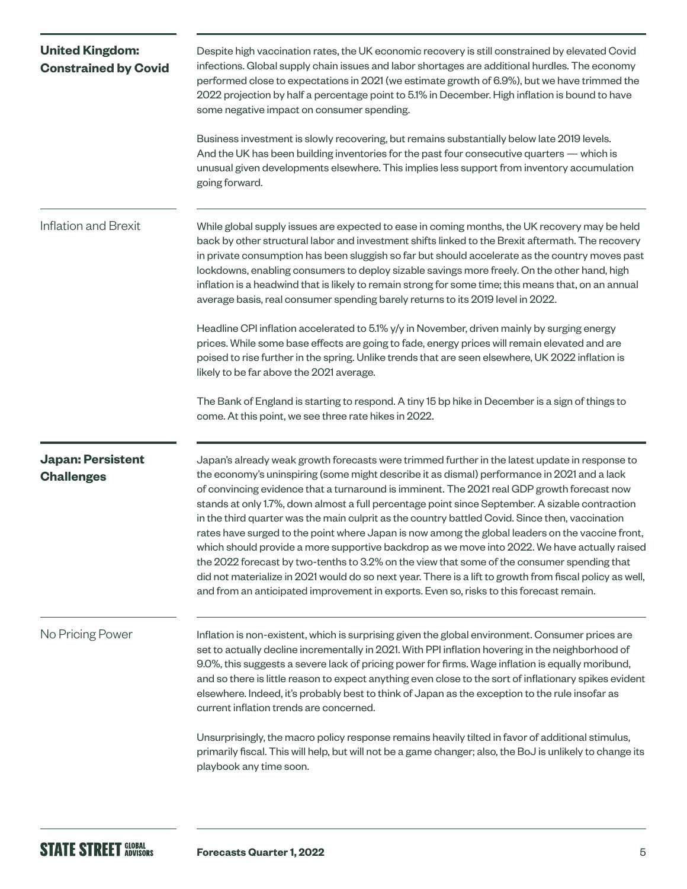| <b>United Kingdom:</b><br><b>Constrained by Covid</b> | Despite high vaccination rates, the UK economic recovery is still constrained by elevated Covid<br>infections. Global supply chain issues and labor shortages are additional hurdles. The economy<br>performed close to expectations in 2021 (we estimate growth of 6.9%), but we have trimmed the<br>2022 projection by half a percentage point to 5.1% in December. High inflation is bound to have<br>some negative impact on consumer spending.<br>Business investment is slowly recovering, but remains substantially below late 2019 levels.<br>And the UK has been building inventories for the past four consecutive quarters — which is<br>unusual given developments elsewhere. This implies less support from inventory accumulation<br>going forward.                                                                                                                                                                                                                                             |  |  |  |  |
|-------------------------------------------------------|---------------------------------------------------------------------------------------------------------------------------------------------------------------------------------------------------------------------------------------------------------------------------------------------------------------------------------------------------------------------------------------------------------------------------------------------------------------------------------------------------------------------------------------------------------------------------------------------------------------------------------------------------------------------------------------------------------------------------------------------------------------------------------------------------------------------------------------------------------------------------------------------------------------------------------------------------------------------------------------------------------------|--|--|--|--|
| Inflation and Brexit                                  | While global supply issues are expected to ease in coming months, the UK recovery may be held<br>back by other structural labor and investment shifts linked to the Brexit aftermath. The recovery<br>in private consumption has been sluggish so far but should accelerate as the country moves past<br>lockdowns, enabling consumers to deploy sizable savings more freely. On the other hand, high<br>inflation is a headwind that is likely to remain strong for some time; this means that, on an annual<br>average basis, real consumer spending barely returns to its 2019 level in 2022.                                                                                                                                                                                                                                                                                                                                                                                                              |  |  |  |  |
|                                                       | Headline CPI inflation accelerated to 5.1% y/y in November, driven mainly by surging energy<br>prices. While some base effects are going to fade, energy prices will remain elevated and are<br>poised to rise further in the spring. Unlike trends that are seen elsewhere, UK 2022 inflation is<br>likely to be far above the 2021 average.                                                                                                                                                                                                                                                                                                                                                                                                                                                                                                                                                                                                                                                                 |  |  |  |  |
|                                                       | The Bank of England is starting to respond. A tiny 15 bp hike in December is a sign of things to<br>come. At this point, we see three rate hikes in 2022.                                                                                                                                                                                                                                                                                                                                                                                                                                                                                                                                                                                                                                                                                                                                                                                                                                                     |  |  |  |  |
| <b>Japan: Persistent</b><br><b>Challenges</b>         | Japan's already weak growth forecasts were trimmed further in the latest update in response to<br>the economy's uninspiring (some might describe it as dismal) performance in 2021 and a lack<br>of convincing evidence that a turnaround is imminent. The 2021 real GDP growth forecast now<br>stands at only 1.7%, down almost a full percentage point since September. A sizable contraction<br>in the third quarter was the main culprit as the country battled Covid. Since then, vaccination<br>rates have surged to the point where Japan is now among the global leaders on the vaccine front,<br>which should provide a more supportive backdrop as we move into 2022. We have actually raised<br>the 2022 forecast by two-tenths to 3.2% on the view that some of the consumer spending that<br>did not materialize in 2021 would do so next year. There is a lift to growth from fiscal policy as well,<br>and from an anticipated improvement in exports. Even so, risks to this forecast remain. |  |  |  |  |
| No Pricing Power                                      | Inflation is non-existent, which is surprising given the global environment. Consumer prices are<br>set to actually decline incrementally in 2021. With PPI inflation hovering in the neighborhood of<br>9.0%, this suggests a severe lack of pricing power for firms. Wage inflation is equally moribund,<br>and so there is little reason to expect anything even close to the sort of inflationary spikes evident<br>elsewhere. Indeed, it's probably best to think of Japan as the exception to the rule insofar as<br>current inflation trends are concerned.                                                                                                                                                                                                                                                                                                                                                                                                                                            |  |  |  |  |
|                                                       | Unsurprisingly, the macro policy response remains heavily tilted in favor of additional stimulus,<br>primarily fiscal. This will help, but will not be a game changer; also, the BoJ is unlikely to change its<br>playbook any time soon.                                                                                                                                                                                                                                                                                                                                                                                                                                                                                                                                                                                                                                                                                                                                                                     |  |  |  |  |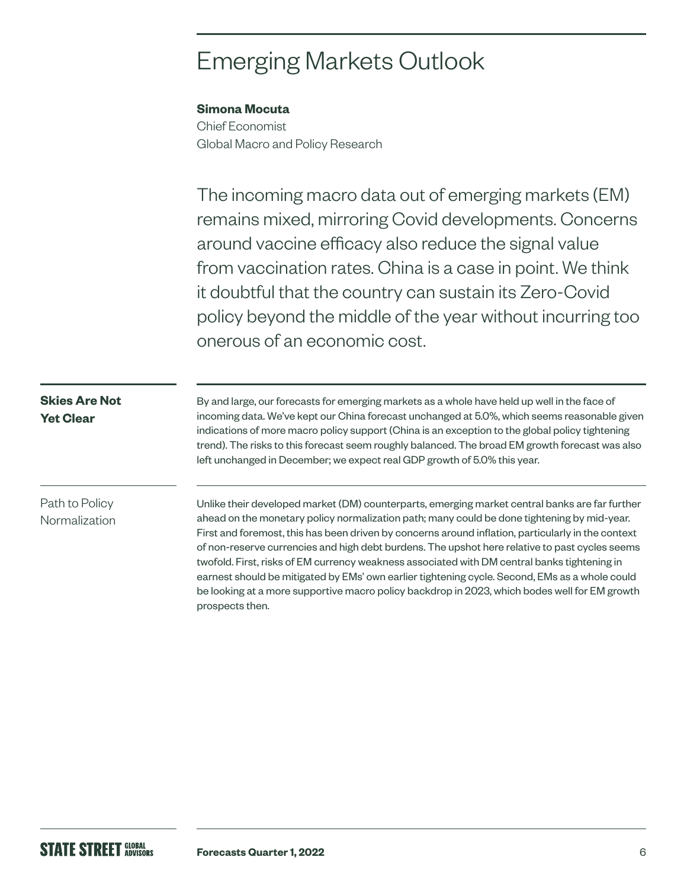# Emerging Markets Outlook

### **Simona Mocuta**

Chief Economist Global Macro and Policy Research

The incoming macro data out of emerging markets (EM) remains mixed, mirroring Covid developments. Concerns around vaccine efficacy also reduce the signal value from vaccination rates. China is a case in point. We think it doubtful that the country can sustain its Zero-Covid policy beyond the middle of the year without incurring too onerous of an economic cost.

#### **Skies Are Not Yet Clear**

By and large, our forecasts for emerging markets as a whole have held up well in the face of incoming data. We've kept our China forecast unchanged at 5.0%, which seems reasonable given indications of more macro policy support (China is an exception to the global policy tightening trend). The risks to this forecast seem roughly balanced. The broad EM growth forecast was also left unchanged in December; we expect real GDP growth of 5.0% this year.

## Path to Policy Normalization

Unlike their developed market (DM) counterparts, emerging market central banks are far further ahead on the monetary policy normalization path; many could be done tightening by mid-year. First and foremost, this has been driven by concerns around inflation, particularly in the context of non-reserve currencies and high debt burdens. The upshot here relative to past cycles seems twofold. First, risks of EM currency weakness associated with DM central banks tightening in earnest should be mitigated by EMs' own earlier tightening cycle. Second, EMs as a whole could be looking at a more supportive macro policy backdrop in 2023, which bodes well for EM growth prospects then.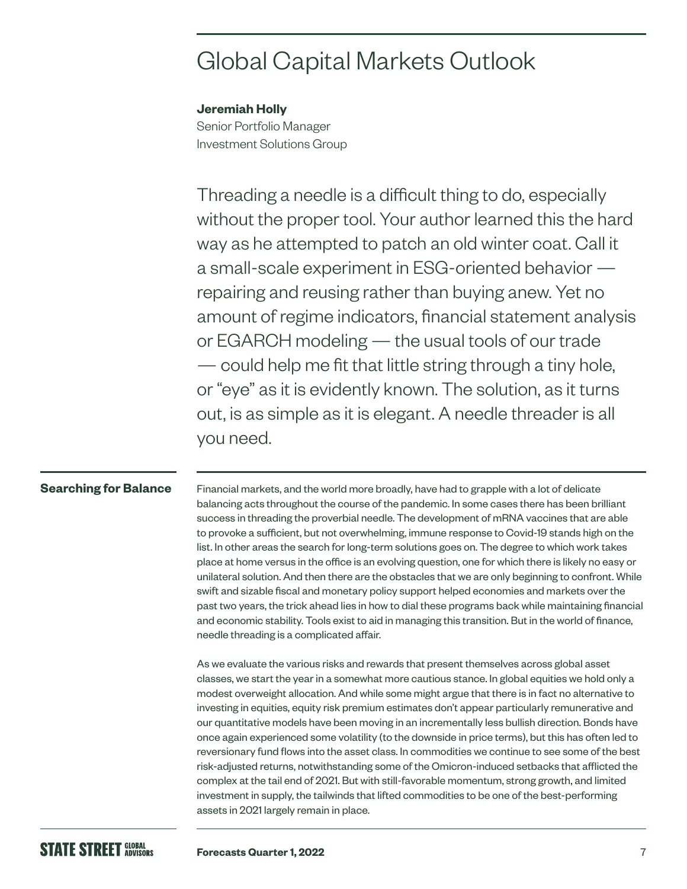# Global Capital Markets Outlook

#### **Jeremiah Holly**

Senior Portfolio Manager Investment Solutions Group

Threading a needle is a difficult thing to do, especially without the proper tool. Your author learned this the hard way as he attempted to patch an old winter coat. Call it a small-scale experiment in ESG-oriented behavior repairing and reusing rather than buying anew. Yet no amount of regime indicators, financial statement analysis or EGARCH modeling — the usual tools of our trade — could help me fit that little string through a tiny hole, or "eye" as it is evidently known. The solution, as it turns out, is as simple as it is elegant. A needle threader is all you need.

### **Searching for Balance**

Financial markets, and the world more broadly, have had to grapple with a lot of delicate balancing acts throughout the course of the pandemic. In some cases there has been brilliant success in threading the proverbial needle. The development of mRNA vaccines that are able to provoke a sufficient, but not overwhelming, immune response to Covid-19 stands high on the list. In other areas the search for long-term solutions goes on. The degree to which work takes place at home versus in the office is an evolving question, one for which there is likely no easy or unilateral solution. And then there are the obstacles that we are only beginning to confront. While swift and sizable fiscal and monetary policy support helped economies and markets over the past two years, the trick ahead lies in how to dial these programs back while maintaining financial and economic stability. Tools exist to aid in managing this transition. But in the world of finance, needle threading is a complicated affair.

As we evaluate the various risks and rewards that present themselves across global asset classes, we start the year in a somewhat more cautious stance. In global equities we hold only a modest overweight allocation. And while some might argue that there is in fact no alternative to investing in equities, equity risk premium estimates don't appear particularly remunerative and our quantitative models have been moving in an incrementally less bullish direction. Bonds have once again experienced some volatility (to the downside in price terms), but this has often led to reversionary fund flows into the asset class. In commodities we continue to see some of the best risk-adjusted returns, notwithstanding some of the Omicron-induced setbacks that afflicted the complex at the tail end of 2021. But with still-favorable momentum, strong growth, and limited investment in supply, the tailwinds that lifted commodities to be one of the best-performing assets in 2021 largely remain in place.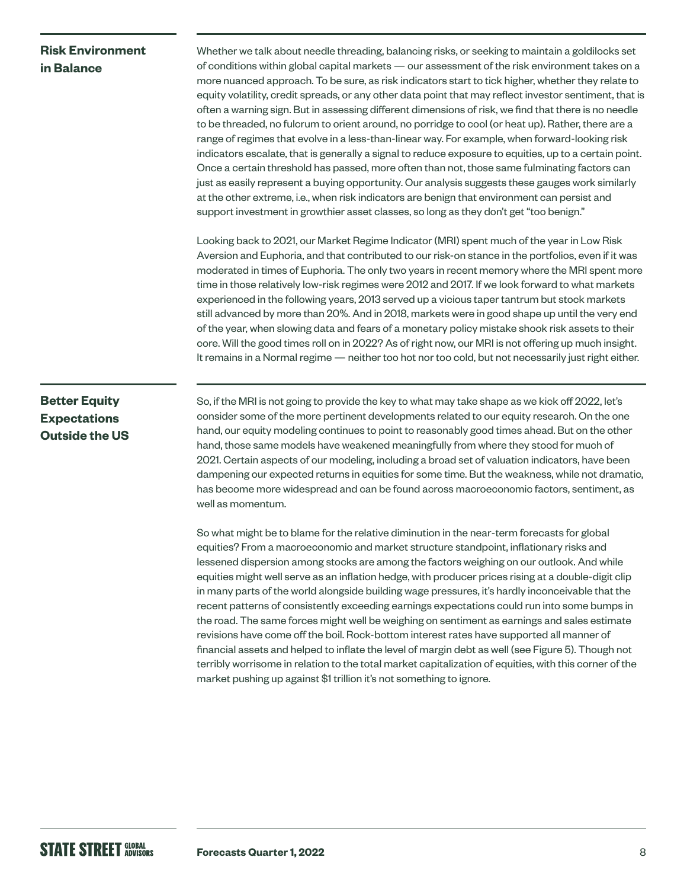### **Risk Environment in Balance**

Whether we talk about needle threading, balancing risks, or seeking to maintain a goldilocks set of conditions within global capital markets — our assessment of the risk environment takes on a more nuanced approach. To be sure, as risk indicators start to tick higher, whether they relate to equity volatility, credit spreads, or any other data point that may reflect investor sentiment, that is often a warning sign. But in assessing different dimensions of risk, we find that there is no needle to be threaded, no fulcrum to orient around, no porridge to cool (or heat up). Rather, there are a range of regimes that evolve in a less-than-linear way. For example, when forward-looking risk indicators escalate, that is generally a signal to reduce exposure to equities, up to a certain point. Once a certain threshold has passed, more often than not, those same fulminating factors can just as easily represent a buying opportunity. Our analysis suggests these gauges work similarly at the other extreme, i.e., when risk indicators are benign that environment can persist and support investment in growthier asset classes, so long as they don't get "too benign."

Looking back to 2021, our Market Regime Indicator (MRI) spent much of the year in Low Risk Aversion and Euphoria, and that contributed to our risk-on stance in the portfolios, even if it was moderated in times of Euphoria. The only two years in recent memory where the MRI spent more time in those relatively low-risk regimes were 2012 and 2017. If we look forward to what markets experienced in the following years, 2013 served up a vicious taper tantrum but stock markets still advanced by more than 20%. And in 2018, markets were in good shape up until the very end of the year, when slowing data and fears of a monetary policy mistake shook risk assets to their core. Will the good times roll on in 2022? As of right now, our MRI is not offering up much insight. It remains in a Normal regime — neither too hot nor too cold, but not necessarily just right either.

## **Better Equity Expectations Outside the US**

So, if the MRI is not going to provide the key to what may take shape as we kick off 2022, let's consider some of the more pertinent developments related to our equity research. On the one hand, our equity modeling continues to point to reasonably good times ahead. But on the other hand, those same models have weakened meaningfully from where they stood for much of 2021. Certain aspects of our modeling, including a broad set of valuation indicators, have been dampening our expected returns in equities for some time. But the weakness, while not dramatic, has become more widespread and can be found across macroeconomic factors, sentiment, as well as momentum.

So what might be to blame for the relative diminution in the near-term forecasts for global equities? From a macroeconomic and market structure standpoint, inflationary risks and lessened dispersion among stocks are among the factors weighing on our outlook. And while equities might well serve as an inflation hedge, with producer prices rising at a double-digit clip in many parts of the world alongside building wage pressures, it's hardly inconceivable that the recent patterns of consistently exceeding earnings expectations could run into some bumps in the road. The same forces might well be weighing on sentiment as earnings and sales estimate revisions have come off the boil. Rock-bottom interest rates have supported all manner of financial assets and helped to inflate the level of margin debt as well (see Figure 5). Though not terribly worrisome in relation to the total market capitalization of equities, with this corner of the market pushing up against \$1 trillion it's not something to ignore.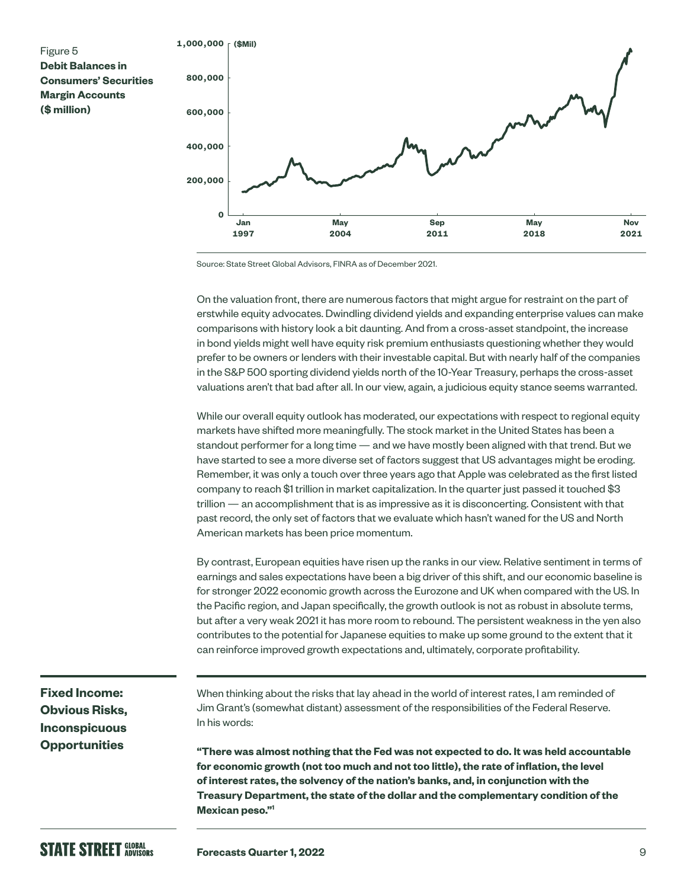

Source: State Street Global Advisors, FINRA as of December 2021.

On the valuation front, there are numerous factors that might argue for restraint on the part of erstwhile equity advocates. Dwindling dividend yields and expanding enterprise values can make comparisons with history look a bit daunting. And from a cross-asset standpoint, the increase in bond yields might well have equity risk premium enthusiasts questioning whether they would prefer to be owners or lenders with their investable capital. But with nearly half of the companies in the S&P 500 sporting dividend yields north of the 10-Year Treasury, perhaps the cross-asset valuations aren't that bad after all. In our view, again, a judicious equity stance seems warranted.

While our overall equity outlook has moderated, our expectations with respect to regional equity markets have shifted more meaningfully. The stock market in the United States has been a standout performer for a long time — and we have mostly been aligned with that trend. But we have started to see a more diverse set of factors suggest that US advantages might be eroding. Remember, it was only a touch over three years ago that Apple was celebrated as the first listed company to reach \$1 trillion in market capitalization. In the quarter just passed it touched \$3 trillion — an accomplishment that is as impressive as it is disconcerting. Consistent with that past record, the only set of factors that we evaluate which hasn't waned for the US and North American markets has been price momentum.

By contrast, European equities have risen up the ranks in our view. Relative sentiment in terms of earnings and sales expectations have been a big driver of this shift, and our economic baseline is for stronger 2022 economic growth across the Eurozone and UK when compared with the US. In the Pacific region, and Japan specifically, the growth outlook is not as robust in absolute terms, but after a very weak 2021 it has more room to rebound. The persistent weakness in the yen also contributes to the potential for Japanese equities to make up some ground to the extent that it can reinforce improved growth expectations and, ultimately, corporate profitability.

**Fixed Income: Obvious Risks, Inconspicuous Opportunities**

When thinking about the risks that lay ahead in the world of interest rates, I am reminded of Jim Grant's (somewhat distant) assessment of the responsibilities of the Federal Reserve. In his words:

**"There was almost nothing that the Fed was not expected to do. It was held accountable for economic growth (not too much and not too little), the rate of inflation, the level of interest rates, the solvency of the nation's banks, and, in conjunction with the Treasury Department, the state of the dollar and the complementary condition of the Mexican peso."1**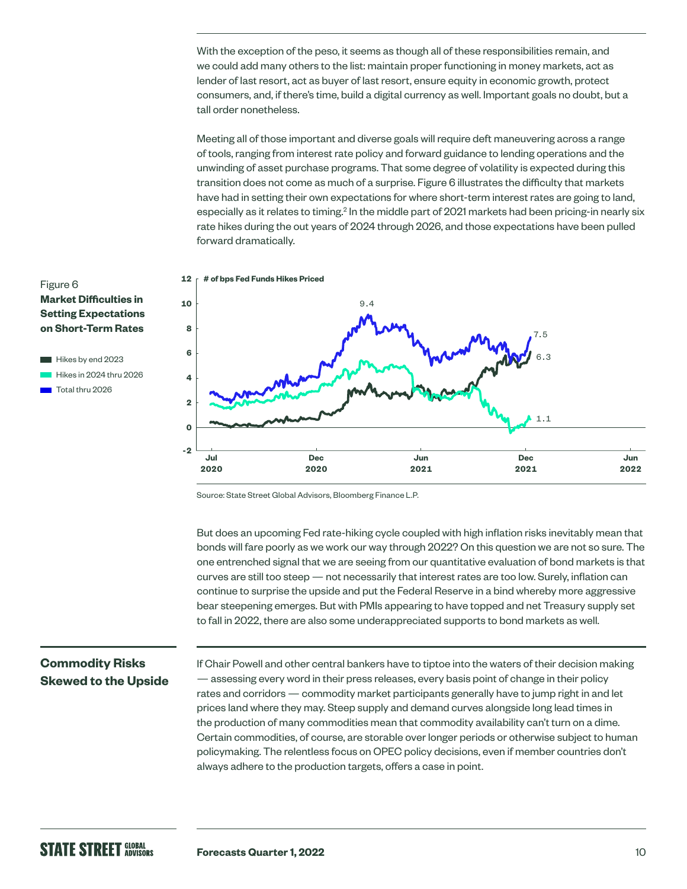With the exception of the peso, it seems as though all of these responsibilities remain, and we could add many others to the list: maintain proper functioning in money markets, act as lender of last resort, act as buyer of last resort, ensure equity in economic growth, protect consumers, and, if there's time, build a digital currency as well. Important goals no doubt, but a tall order nonetheless.

Meeting all of those important and diverse goals will require deft maneuvering across a range of tools, ranging from interest rate policy and forward guidance to lending operations and the unwinding of asset purchase programs. That some degree of volatility is expected during this transition does not come as much of a surprise. Figure 6 illustrates the difficulty that markets have had in setting their own expectations for where short-term interest rates are going to land, especially as it relates to timing.<sup>2</sup> In the middle part of 2021 markets had been pricing-in nearly six rate hikes during the out years of 2024 through 2026, and those expectations have been pulled forward dramatically.







Source: State Street Global Advisors, Bloomberg Finance L.P.

But does an upcoming Fed rate-hiking cycle coupled with high inflation risks inevitably mean that bonds will fare poorly as we work our way through 2022? On this question we are not so sure. The one entrenched signal that we are seeing from our quantitative evaluation of bond markets is that curves are still too steep — not necessarily that interest rates are too low. Surely, inflation can continue to surprise the upside and put the Federal Reserve in a bind whereby more aggressive bear steepening emerges. But with PMIs appearing to have topped and net Treasury supply set to fall in 2022, there are also some underappreciated supports to bond markets as well.

#### **Commodity Risks Skewed to the Upside**

If Chair Powell and other central bankers have to tiptoe into the waters of their decision making — assessing every word in their press releases, every basis point of change in their policy rates and corridors — commodity market participants generally have to jump right in and let prices land where they may. Steep supply and demand curves alongside long lead times in the production of many commodities mean that commodity availability can't turn on a dime. Certain commodities, of course, are storable over longer periods or otherwise subject to human policymaking. The relentless focus on OPEC policy decisions, even if member countries don't always adhere to the production targets, offers a case in point.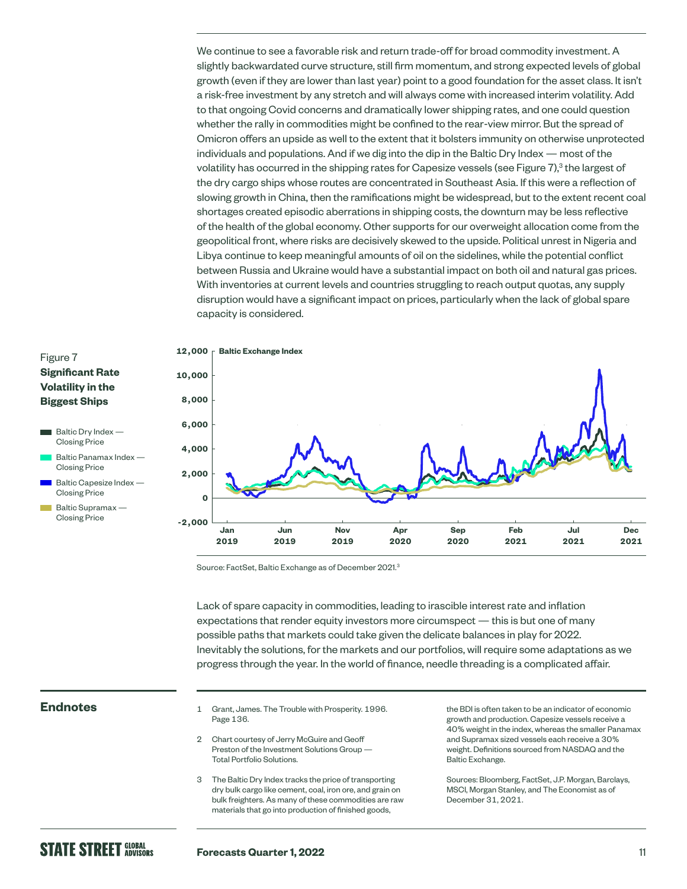We continue to see a favorable risk and return trade-off for broad commodity investment. A slightly backwardated curve structure, still firm momentum, and strong expected levels of global growth (even if they are lower than last year) point to a good foundation for the asset class. It isn't a risk-free investment by any stretch and will always come with increased interim volatility. Add to that ongoing Covid concerns and dramatically lower shipping rates, and one could question whether the rally in commodities might be confined to the rear-view mirror. But the spread of Omicron offers an upside as well to the extent that it bolsters immunity on otherwise unprotected individuals and populations. And if we dig into the dip in the Baltic Dry Index — most of the volatility has occurred in the shipping rates for Capesize vessels (see Figure 7), $^3$  the largest of the dry cargo ships whose routes are concentrated in Southeast Asia. If this were a reflection of slowing growth in China, then the ramifications might be widespread, but to the extent recent coal shortages created episodic aberrations in shipping costs, the downturn may be less reflective of the health of the global economy. Other supports for our overweight allocation come from the geopolitical front, where risks are decisively skewed to the upside. Political unrest in Nigeria and Libya continue to keep meaningful amounts of oil on the sidelines, while the potential conflict between Russia and Ukraine would have a substantial impact on both oil and natural gas prices. With inventories at current levels and countries struggling to reach output quotas, any supply disruption would have a significant impact on prices, particularly when the lack of global spare capacity is considered.

#### **Significant Rate Volatility in the Biggest Ships**

- $\blacksquare$  Baltic Dry Index Closing Price
- Baltic Panamax Index Closing Price
- Baltic Capesize Index Closing Price
- Baltic Supramax Closing Price



Source: FactSet, Baltic Exchange as of December 2021.<sup>3</sup>

Lack of spare capacity in commodities, leading to irascible interest rate and inflation expectations that render equity investors more circumspect — this is but one of many possible paths that markets could take given the delicate balances in play for 2022. Inevitably the solutions, for the markets and our portfolios, will require some adaptations as we progress through the year. In the world of finance, needle threading is a complicated affair.

- **Endnotes** 1 Grant, James. The Trouble with Prosperity. 1996. Page 136.
	- 2 Chart courtesy of Jerry McGuire and Geoff Preston of the Investment Solutions Group — Total Portfolio Solutions.
	- 3 The Baltic Dry Index tracks the price of transporting dry bulk cargo like cement, coal, iron ore, and grain on bulk freighters. As many of these commodities are raw materials that go into production of finished goods,

the BDI is often taken to be an indicator of economic growth and production. Capesize vessels receive a 40% weight in the index, whereas the smaller Panamax and Supramax sized vessels each receive a 30% weight. Definitions sourced from NASDAQ and the Baltic Exchange.

Sources: Bloomberg, FactSet, J.P. Morgan, Barclays, MSCI, Morgan Stanley, and The Economist as of December 31, 2021.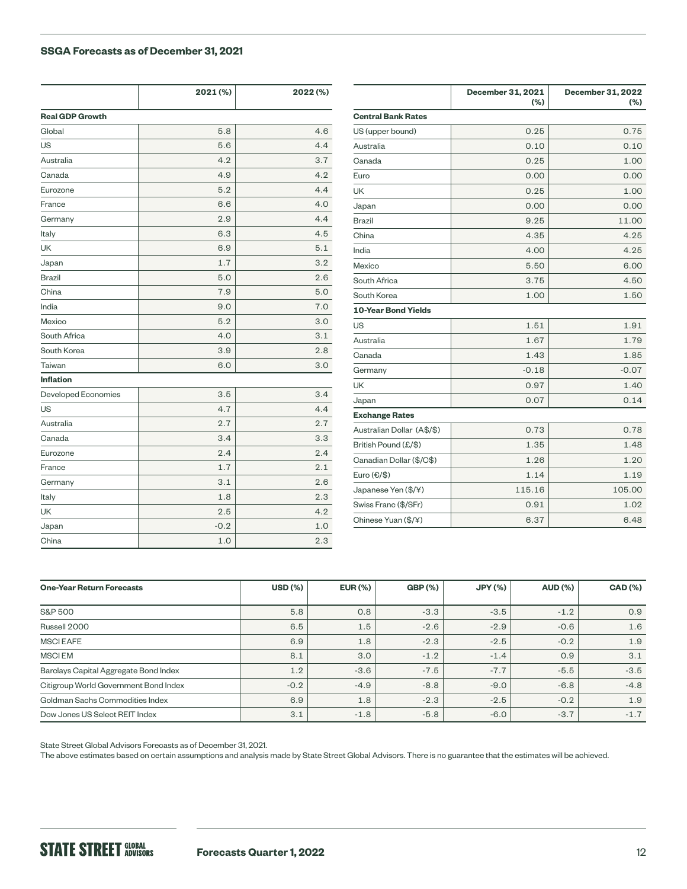#### **SSGA Forecasts as of December 31, 2021**

|                        | 2021 (%) | 2022 (%) |                            | December 31, 2021<br>(%) | <b>December 31, 2022</b><br>(%) |
|------------------------|----------|----------|----------------------------|--------------------------|---------------------------------|
| <b>Real GDP Growth</b> |          |          | <b>Central Bank Rates</b>  |                          |                                 |
| Global                 | 5.8      | 4.6      | US (upper bound)           | 0.25                     | 0.75                            |
| US                     | 5.6      | 4.4      | Australia                  | 0.10                     | 0.10                            |
| Australia              | 4.2      | 3.7      | Canada                     | 0.25                     | 1.00                            |
| Canada                 | 4.9      | 4.2      | Euro                       | 0.00                     | 0.00                            |
| Eurozone               | 5.2      | 4.4      | <b>UK</b>                  | 0.25                     | 1.00                            |
| France                 | 6.6      | 4.0      | Japan                      | 0.00                     | 0.00                            |
| Germany                | 2.9      | 4.4      | Brazil                     | 9.25                     | 11.00                           |
| Italy                  | 6.3      | 4.5      | China                      | 4.35                     | 4.25                            |
| <b>UK</b>              | 6.9      | 5.1      | India                      | 4.00                     | 4.25                            |
| Japan                  | 1.7      | 3.2      | Mexico                     | 5.50                     | 6.00                            |
| <b>Brazil</b>          | 5.0      | 2.6      | South Africa               | 3.75                     | 4.50                            |
| China                  | 7.9      | 5.0      | South Korea                | 1.00                     | 1.50                            |
| India                  | 9.0      | 7.0      | <b>10-Year Bond Yields</b> |                          |                                 |
| Mexico                 | 5.2      | 3.0      | US                         | 1.51                     | 1.91                            |
| South Africa           | 4.0      | 3.1      | Australia                  | 1.67                     | 1.79                            |
| South Korea            | 3.9      | 2.8      | Canada                     | 1.43                     | 1.85                            |
| Taiwan                 | 6.0      | 3.0      | Germany                    | $-0.18$                  | $-0.07$                         |
| <b>Inflation</b>       |          |          | <b>UK</b>                  | 0.97                     | 1.40                            |
| Developed Economies    | 3.5      | 3.4      | Japan                      | 0.07                     | 0.14                            |
| US                     | 4.7      | 4.4      | <b>Exchange Rates</b>      |                          |                                 |
| Australia              | 2.7      | 2.7      | Australian Dollar (A\$/\$) | 0.73                     | 0.78                            |
| Canada                 | 3.4      | 3.3      | British Pound (£/\$)       | 1.35                     | 1.48                            |
| Eurozone               | 2.4      | 2.4      | Canadian Dollar (\$/C\$)   | 1.26                     | 1.20                            |
| France                 | 1.7      | 2.1      | Euro $(\epsilon/\$         | 1.14                     | 1.19                            |
| Germany                | 3.1      | 2.6      |                            |                          |                                 |
| Italy                  | 1.8      | 2.3      | Japanese Yen (\$/¥)        | 115.16                   | 105.00                          |
| UK                     | 2.5      | 4.2      | Swiss Franc (\$/SFr)       | 0.91                     | 1.02                            |
| Japan                  | $-0.2$   | 1.0      | Chinese Yuan (\$/¥)        | 6.37                     | 6.48                            |
| China                  | 1.0      | 2.3      |                            |                          |                                 |

| <b>One-Year Return Forecasts</b>      | <b>USD (%)</b> | <b>EUR (%)</b> | <b>GBP (%)</b> | <b>JPY (%)</b> | <b>AUD (%)</b> | <b>CAD</b> (%) |
|---------------------------------------|----------------|----------------|----------------|----------------|----------------|----------------|
|                                       |                |                |                |                |                |                |
| <b>S&amp;P 500</b>                    | 5.8            | 0.8            | $-3.3$         | $-3.5$         | $-1.2$         | 0.9            |
| Russell 2000                          | 6.5            | 1.5            | $-2.6$         | $-2.9$         | $-0.6$         | 1.6            |
| <b>MSCIEAFE</b>                       | 6.9            | 1.8            | $-2.3$         | $-2.5$         | $-0.2$         | 1.9            |
| <b>MSCIEM</b>                         | 8.1            | 3.0            | $-1.2$         | $-1.4$         | 0.9            | 3.1            |
| Barclays Capital Aggregate Bond Index | 1.2            | $-3.6$         | $-7.5$         | $-7.7$         | $-5.5$         | $-3.5$         |
| Citigroup World Government Bond Index | $-0.2$         | $-4.9$         | $-8.8$         | $-9.0$         | $-6.8$         | $-4.8$         |
| Goldman Sachs Commodities Index       | 6.9            | 1.8            | $-2.3$         | $-2.5$         | $-0.2$         | 1.9            |
| Dow Jones US Select REIT Index        | 3.1            | $-1.8$         | $-5.8$         | $-6.0$         | $-3.7$         | $-1.7$         |

State Street Global Advisors Forecasts as of December 31, 2021.

The above estimates based on certain assumptions and analysis made by State Street Global Advisors. There is no guarantee that the estimates will be achieved.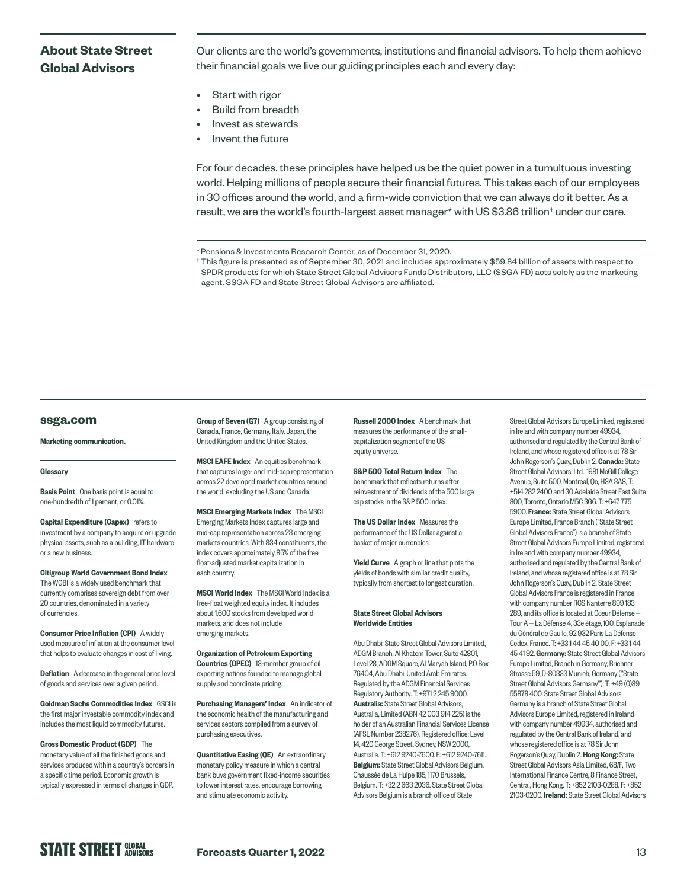#### **About State Street Global Advisors**

Our clients are the world's governments, institutions and financial advisors. To help them achieve their financial goals we live our guiding principles each and every day:

- Start with rigor
- Build from breadth
- Invest as stewards
- Invent the future

For four decades, these principles have helped us be the quiet power in a tumultuous investing world. Helping millions of people secure their financial futures. This takes each of our employees in 30 offices around the world, and a firm-wide conviction that we can always do it better. As a result, we are the world's fourth-largest asset manager\* with US \$3.86 trillion† under our care.

#### **[ssga.com](http://ssga.com)**

Marketing communication.

#### **Glossary**

**Basis Point** One basis point is equal to one-hundredth of 1 percent, or 0.01%.

Capital Expenditure (Capex) refers to investment by a company to acquire or upgrade physical assets, such as a building, IT hardware or a new business.

Citigroup World Government Bond Index The WGBI is a widely used benchmark that currently comprises sovereign debt from over 20 countries, denominated in a variety of currencies.

Consumer Price Inflation (CPI) A widely used measure of inflation at the consumer level that helps to evaluate changes in cost of living.

Deflation A decrease in the general price level of goods and services over a given period.

Goldman Sachs Commodities Index GSCI is the first major investable commodity index and includes the most liquid commodity futures.

Gross Domestic Product (GDP) The monetary value of all the finished goods and services produced within a country's borders in a specific time period. Economic growth is typically expressed in terms of changes in GDP.

Group of Seven (G7) A group consisting of Canada, France, Germany, Italy, Japan, the United Kingdom and the United States.

MSCI EAFE Index An equities benchmark that captures large- and mid-cap representation across 22 developed market countries around the world, excluding the US and Canada.

MSCI Emerging Markets Index The MSCI Emerging Markets Index captures large and mid-cap representation across 23 emerging markets countries. With 834 constituents, the index covers approximately 85% of the free float-adjusted market capitalization in each country.

MSCI World Index The MSCI World Index is a free-float weighted equity index. It includes about 1,600 stocks from developed world markets, and does not include emerging markets.

Organization of Petroleum Exporting Countries (OPEC) 13-member group of oil exporting nations founded to manage global supply and coordinate pricing.

Purchasing Managers' Index An indicator of the economic health of the manufacturing and services sectors compiled from a survey of purchasing executives.

**Quantitative Easing (QE)** An extraordinary monetary policy measure in which a central bank buys government fixed-income securities to lower interest rates, encourage borrowing and stimulate economic activity.

Russell 2000 Index A benchmark that measures the performance of the smallcapitalization segment of the US equity universe.

S&P 500 Total Return Index The benchmark that reflects returns after reinvestment of dividends of the 500 large cap stocks in the S&P 500 Index.

The US Dollar Index Measures the performance of the US Dollar against a basket of major currencies.

Yield Curve A graph or line that plots the yields of bonds with similar credit quality. typically from shortest to longest duration.

#### State Street Global Advisors Worldwide Entities

Abu Dhabi: State Street Global Advisors Limited, ADGM Branch, Al Khatem Tower, Suite 42801, Level 28, ADGM Square, Al Maryah Island, P.O Box 76404, Abu Dhabi, United Arab Emirates. Regulated by the ADGM Financial Services Regulatory Authority. T: +971 2 245 9000. Australia: State Street Global Advisors, Australia, Limited (ABN 42 003 914 225) is the holder of an Australian Financial Services License (AFSL Number 238276). Registered office: Level 14, 420 George Street, Sydney, NSW 2000, Australia. T: +612 9240-7600. F: +612 9240-7611. Belgium: State Street Global Advisors Belgium, Chaussée de La Hulpe 185, 1170 Brussels, Belgium. T: +32 2 663 2036. State Street Global Advisors Belgium is a branch office of State

Street Global Advisors Europe Limited, registered in Ireland with company number 49934, authorised and regulated by the Central Bank of Ireland, and whose registered office is at 78 Sir John Rogerson's Quay, Dublin 2. Canada: State Street Global Advisors, Ltd., 1981 McGill College Avenue, Suite 500, Montreal, Qc, H3A 3A8, T: +514 282 2400 and 30 Adelaide Street East Suite 800, Toronto, Ontario M5C 3G6. T: +647 775 5900. France: State Street Global Advisors Europe Limited, France Branch ("State Street Global Advisors France") is a branch of State Street Global Advisors Europe Limited, registered in Ireland with company number 49934, authorised and regulated by the Central Bank of Ireland, and whose registered office is at 78 Sir John Rogerson's Quay, Dublin 2. State Street Global Advisors France is registered in France with company number RCS Nanterre 899 183 289, and its office is located at Coeur Défense — Tour A — La Défense 4, 33e étage, 100, Esplanade du Général de Gaulle, 92 932 Paris La Défense Cedex, France. T: +33 1 44 45 40 00. F: +33 1 44 45 41 92. Germany: State Street Global Advisors Europe Limited, Branch in Germany, Brienner Strasse 59, D-80333 Munich, Germany ("State Street Global Advisors Germany"). T: +49 (0)89 55878 400. State Street Global Advisors Germany is a branch of State Street Global Advisors Europe Limited, registered in Ireland with company number 49934, authorised and regulated by the Central Bank of Ireland, and whose registered office is at 78 Sir John Rogerson's Quay, Dublin 2. Hong Kong: State Street Global Advisors Asia Limited, 68/F, Two International Finance Centre, 8 Finance Street, Central, Hong Kong. T: +852 2103-0288. F: +852 2103-0200. **Ireland:** State Street Global Advisors

# **STATE STREET GLOBAL**

<sup>\*</sup>Pensions & Investments Research Center, as of December 31, 2020.

<sup>†</sup> This figure is presented as of September 30, 2021 and includes approximately \$59.84 billion of assets with respect to SPDR products for which State Street Global Advisors Funds Distributors, LLC (SSGA FD) acts solely as the marketing agent. SSGA FD and State Street Global Advisors are affiliated.